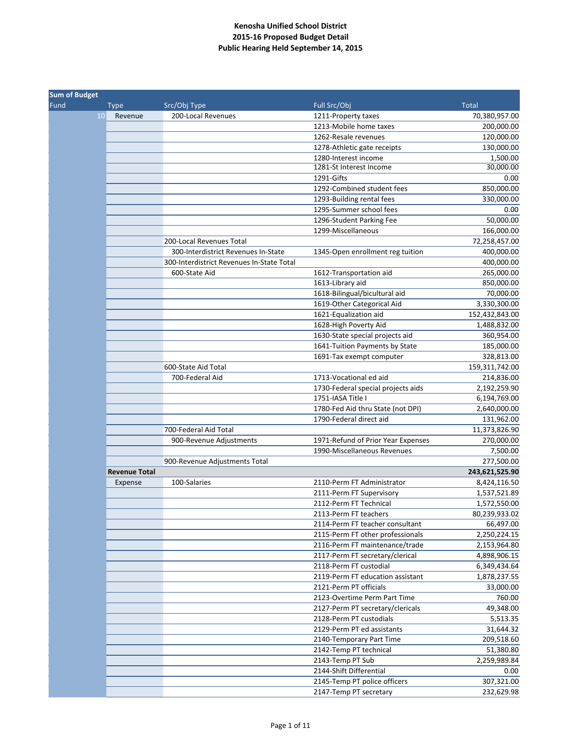|      | <b>Sum of Budget</b> |                                           |                                                                   |                              |  |
|------|----------------------|-------------------------------------------|-------------------------------------------------------------------|------------------------------|--|
| Fund | <b>Type</b>          | Src/Obj Type                              | Full Src/Obj                                                      | <b>Total</b>                 |  |
|      | 10<br>Revenue        | 200-Local Revenues                        | 1211-Property taxes                                               | 70,380,957.00                |  |
|      |                      |                                           | 1213-Mobile home taxes                                            | 200,000.00                   |  |
|      |                      |                                           | 1262-Resale revenues                                              | 120,000.00                   |  |
|      |                      |                                           | 1278-Athletic gate receipts                                       | 130,000.00                   |  |
|      |                      |                                           | 1280-Interest income                                              | 1,500.00                     |  |
|      |                      |                                           | 1281-St Interest Income                                           | 30,000.00                    |  |
|      |                      |                                           | 1291-Gifts                                                        | 0.00                         |  |
|      |                      |                                           | 1292-Combined student fees                                        | 850,000.00                   |  |
|      |                      |                                           | 1293-Building rental fees                                         | 330,000.00                   |  |
|      |                      |                                           | 1295-Summer school fees                                           | 0.00                         |  |
|      |                      |                                           | 1296-Student Parking Fee                                          | 50,000.00                    |  |
|      |                      |                                           | 1299-Miscellaneous                                                | 166,000.00                   |  |
|      |                      | 200-Local Revenues Total                  |                                                                   | 72,258,457.00                |  |
|      |                      | 300-Interdistrict Revenues In-State       | 1345-Open enrollment reg tuition                                  | 400,000.00                   |  |
|      |                      | 300-Interdistrict Revenues In-State Total |                                                                   | 400,000.00                   |  |
|      |                      | 600-State Aid                             | 1612-Transportation aid                                           | 265,000.00                   |  |
|      |                      |                                           | 1613-Library aid                                                  | 850,000.00                   |  |
|      |                      |                                           | 1618-Bilingual/bicultural aid                                     | 70,000.00                    |  |
|      |                      |                                           | 1619-Other Categorical Aid                                        | 3,330,300.00                 |  |
|      |                      |                                           | 1621-Equalization aid                                             | 152,432,843.00               |  |
|      |                      |                                           | 1628-High Poverty Aid                                             | 1,488,832.00                 |  |
|      |                      |                                           | 1630-State special projects aid<br>1641-Tuition Payments by State | 360,954.00                   |  |
|      |                      |                                           | 1691-Tax exempt computer                                          | 185,000.00                   |  |
|      |                      | 600-State Aid Total                       |                                                                   | 328,813.00<br>159,311,742.00 |  |
|      |                      | 700-Federal Aid                           | 1713-Vocational ed aid                                            | 214,836.00                   |  |
|      |                      |                                           | 1730-Federal special projects aids                                | 2,192,259.90                 |  |
|      |                      |                                           | 1751-IASA Title I                                                 | 6,194,769.00                 |  |
|      |                      |                                           | 1780-Fed Aid thru State (not DPI)                                 | 2,640,000.00                 |  |
|      |                      |                                           | 1790-Federal direct aid                                           | 131,962.00                   |  |
|      |                      | 700-Federal Aid Total                     |                                                                   | 11,373,826.90                |  |
|      |                      | 900-Revenue Adjustments                   | 1971-Refund of Prior Year Expenses                                | 270,000.00                   |  |
|      |                      |                                           | 1990-Miscellaneous Revenues                                       | 7,500.00                     |  |
|      |                      | 900-Revenue Adjustments Total             |                                                                   | 277,500.00                   |  |
|      | <b>Revenue Total</b> |                                           |                                                                   | 243,621,525.90               |  |
|      | Expense              | 100-Salaries                              | 2110-Perm FT Administrator                                        | 8,424,116.50                 |  |
|      |                      |                                           | 2111-Perm FT Supervisory                                          | 1,537,521.89                 |  |
|      |                      |                                           | 2112-Perm FT Technical                                            | 1,572,550.00                 |  |
|      |                      |                                           | 2113-Perm FT teachers                                             | 80,239,933.02                |  |
|      |                      |                                           | 2114-Perm FT teacher consultant                                   | 66,497.00                    |  |
|      |                      |                                           | 2115-Perm FT other professionals                                  | 2,250,224.15                 |  |
|      |                      |                                           | 2116-Perm FT maintenance/trade                                    | 2,153,964.80                 |  |
|      |                      |                                           | 2117-Perm FT secretary/clerical                                   | 4,898,906.15                 |  |
|      |                      |                                           | 2118-Perm FT custodial                                            | 6,349,434.64                 |  |
|      |                      |                                           | 2119-Perm FT education assistant                                  | 1,878,237.55                 |  |
|      |                      |                                           | 2121-Perm PT officials                                            | 33,000.00                    |  |
|      |                      |                                           | 2123-Overtime Perm Part Time                                      | 760.00                       |  |
|      |                      |                                           | 2127-Perm PT secretary/clericals                                  | 49,348.00                    |  |
|      |                      |                                           | 2128-Perm PT custodials                                           | 5,513.35                     |  |
|      |                      |                                           | 2129-Perm PT ed assistants                                        | 31,644.32                    |  |
|      |                      |                                           | 2140-Temporary Part Time                                          | 209,518.60                   |  |
|      |                      |                                           | 2142-Temp PT technical                                            | 51,380.80                    |  |
|      |                      |                                           | 2143-Temp PT Sub                                                  | 2,259,989.84                 |  |
|      |                      |                                           | 2144-Shift Differential                                           | 0.00                         |  |
|      |                      |                                           | 2145-Temp PT police officers                                      | 307,321.00                   |  |
|      |                      |                                           | 2147-Temp PT secretary                                            | 232,629.98                   |  |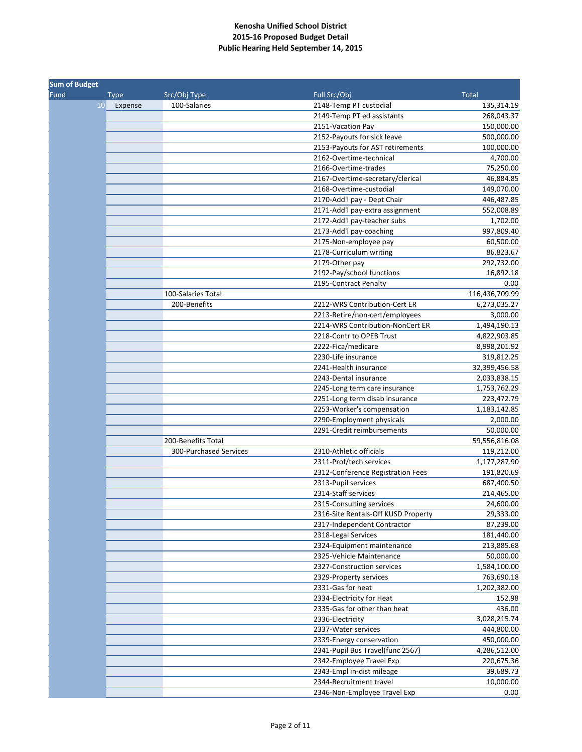|      | <b>Sum of Budget</b> |                        |                                     |                |  |
|------|----------------------|------------------------|-------------------------------------|----------------|--|
| Fund | <b>Type</b>          | Src/Obj Type           | Full Src/Obj                        | <b>Total</b>   |  |
|      | 10<br>Expense        | 100-Salaries           | 2148-Temp PT custodial              | 135,314.19     |  |
|      |                      |                        | 2149-Temp PT ed assistants          | 268,043.37     |  |
|      |                      |                        | 2151-Vacation Pay                   | 150,000.00     |  |
|      |                      |                        | 2152-Payouts for sick leave         | 500,000.00     |  |
|      |                      |                        | 2153-Payouts for AST retirements    | 100,000.00     |  |
|      |                      |                        | 2162-Overtime-technical             | 4,700.00       |  |
|      |                      |                        | 2166-Overtime-trades                | 75,250.00      |  |
|      |                      |                        | 2167-Overtime-secretary/clerical    | 46,884.85      |  |
|      |                      |                        | 2168-Overtime-custodial             | 149,070.00     |  |
|      |                      |                        | 2170-Add'l pay - Dept Chair         | 446,487.85     |  |
|      |                      |                        | 2171-Add'l pay-extra assignment     | 552,008.89     |  |
|      |                      |                        | 2172-Add'l pay-teacher subs         | 1,702.00       |  |
|      |                      |                        | 2173-Add'l pay-coaching             | 997,809.40     |  |
|      |                      |                        | 2175-Non-employee pay               | 60,500.00      |  |
|      |                      |                        | 2178-Curriculum writing             | 86,823.67      |  |
|      |                      |                        | 2179-Other pay                      | 292,732.00     |  |
|      |                      |                        | 2192-Pay/school functions           | 16,892.18      |  |
|      |                      |                        | 2195-Contract Penalty               | 0.00           |  |
|      |                      | 100-Salaries Total     |                                     | 116,436,709.99 |  |
|      |                      | 200-Benefits           | 2212-WRS Contribution-Cert ER       | 6,273,035.27   |  |
|      |                      |                        | 2213-Retire/non-cert/employees      | 3,000.00       |  |
|      |                      |                        | 2214-WRS Contribution-NonCert ER    | 1,494,190.13   |  |
|      |                      |                        | 2218-Contr to OPEB Trust            | 4,822,903.85   |  |
|      |                      |                        | 2222-Fica/medicare                  | 8,998,201.92   |  |
|      |                      |                        | 2230-Life insurance                 | 319,812.25     |  |
|      |                      |                        | 2241-Health insurance               | 32,399,456.58  |  |
|      |                      |                        | 2243-Dental insurance               | 2,033,838.15   |  |
|      |                      |                        | 2245-Long term care insurance       | 1,753,762.29   |  |
|      |                      |                        | 2251-Long term disab insurance      | 223,472.79     |  |
|      |                      |                        | 2253-Worker's compensation          | 1,183,142.85   |  |
|      |                      |                        | 2290-Employment physicals           | 2,000.00       |  |
|      |                      |                        | 2291-Credit reimbursements          | 50,000.00      |  |
|      |                      | 200-Benefits Total     |                                     | 59,556,816.08  |  |
|      |                      | 300-Purchased Services | 2310-Athletic officials             | 119,212.00     |  |
|      |                      |                        | 2311-Prof/tech services             | 1,177,287.90   |  |
|      |                      |                        | 2312-Conference Registration Fees   | 191,820.69     |  |
|      |                      |                        | 2313-Pupil services                 | 687,400.50     |  |
|      |                      |                        | 2314-Staff services                 | 214,465.00     |  |
|      |                      |                        | 2315-Consulting services            | 24,600.00      |  |
|      |                      |                        | 2316-Site Rentals-Off KUSD Property | 29,333.00      |  |
|      |                      |                        | 2317-Independent Contractor         | 87,239.00      |  |
|      |                      |                        | 2318-Legal Services                 | 181,440.00     |  |
|      |                      |                        | 2324-Equipment maintenance          | 213,885.68     |  |
|      |                      |                        | 2325-Vehicle Maintenance            | 50,000.00      |  |
|      |                      |                        | 2327-Construction services          | 1,584,100.00   |  |
|      |                      |                        | 2329-Property services              | 763,690.18     |  |
|      |                      |                        | 2331-Gas for heat                   | 1,202,382.00   |  |
|      |                      |                        | 2334-Electricity for Heat           | 152.98         |  |
|      |                      |                        | 2335-Gas for other than heat        | 436.00         |  |
|      |                      |                        | 2336-Electricity                    | 3,028,215.74   |  |
|      |                      |                        | 2337-Water services                 | 444,800.00     |  |
|      |                      |                        | 2339-Energy conservation            | 450,000.00     |  |
|      |                      |                        | 2341-Pupil Bus Travel(func 2567)    | 4,286,512.00   |  |
|      |                      |                        | 2342-Employee Travel Exp            | 220,675.36     |  |
|      |                      |                        | 2343-Empl in-dist mileage           | 39,689.73      |  |
|      |                      |                        | 2344-Recruitment travel             | 10,000.00      |  |
|      |                      |                        | 2346-Non-Employee Travel Exp        | 0.00           |  |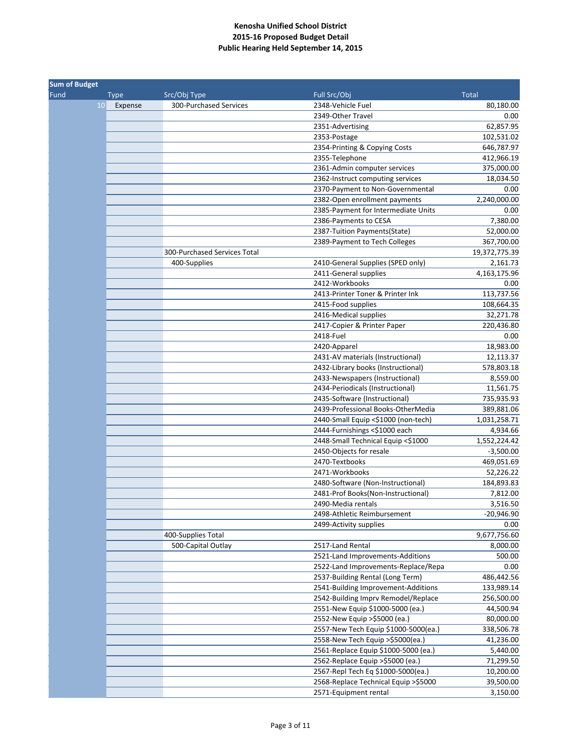| <b>Sum of Budget</b> |               |                              |                                      |               |
|----------------------|---------------|------------------------------|--------------------------------------|---------------|
| Fund                 | <b>Type</b>   | Src/Obj Type                 | Full Src/Obj                         | <b>Total</b>  |
|                      | 10<br>Expense | 300-Purchased Services       | 2348-Vehicle Fuel                    | 80,180.00     |
|                      |               |                              | 2349-Other Travel                    | 0.00          |
|                      |               |                              | 2351-Advertising                     | 62,857.95     |
|                      |               |                              | 2353-Postage                         | 102,531.02    |
|                      |               |                              | 2354-Printing & Copying Costs        | 646,787.97    |
|                      |               |                              | 2355-Telephone                       | 412,966.19    |
|                      |               |                              | 2361-Admin computer services         | 375,000.00    |
|                      |               |                              | 2362-Instruct computing services     | 18,034.50     |
|                      |               |                              | 2370-Payment to Non-Governmental     | 0.00          |
|                      |               |                              | 2382-Open enrollment payments        | 2,240,000.00  |
|                      |               |                              | 2385-Payment for Intermediate Units  | 0.00          |
|                      |               |                              | 2386-Payments to CESA                | 7,380.00      |
|                      |               |                              | 2387-Tuition Payments(State)         | 52,000.00     |
|                      |               |                              | 2389-Payment to Tech Colleges        | 367,700.00    |
|                      |               | 300-Purchased Services Total |                                      | 19,372,775.39 |
|                      |               | 400-Supplies                 | 2410-General Supplies (SPED only)    | 2,161.73      |
|                      |               |                              | 2411-General supplies                | 4,163,175.96  |
|                      |               |                              | 2412-Workbooks                       | 0.00          |
|                      |               |                              | 2413-Printer Toner & Printer Ink     | 113,737.56    |
|                      |               |                              | 2415-Food supplies                   | 108,664.35    |
|                      |               |                              | 2416-Medical supplies                | 32,271.78     |
|                      |               |                              | 2417-Copier & Printer Paper          | 220,436.80    |
|                      |               |                              | 2418-Fuel                            | 0.00          |
|                      |               |                              | 2420-Apparel                         | 18,983.00     |
|                      |               |                              | 2431-AV materials (Instructional)    | 12,113.37     |
|                      |               |                              | 2432-Library books (Instructional)   | 578,803.18    |
|                      |               |                              | 2433-Newspapers (Instructional)      | 8,559.00      |
|                      |               |                              | 2434-Periodicals (Instructional)     | 11,561.75     |
|                      |               |                              | 2435-Software (Instructional)        | 735,935.93    |
|                      |               |                              | 2439-Professional Books-OtherMedia   | 389,881.06    |
|                      |               |                              | 2440-Small Equip <\$1000 (non-tech)  | 1,031,258.71  |
|                      |               |                              | 2444-Furnishings <\$1000 each        | 4,934.66      |
|                      |               |                              | 2448-Small Technical Equip <\$1000   | 1,552,224.42  |
|                      |               |                              | 2450-Objects for resale              | $-3,500.00$   |
|                      |               |                              | 2470-Textbooks                       | 469,051.69    |
|                      |               |                              | 2471-Workbooks                       | 52,226.22     |
|                      |               |                              | 2480-Software (Non-Instructional)    | 184,893.83    |
|                      |               |                              | 2481-Prof Books(Non-Instructional)   | 7,812.00      |
|                      |               |                              | 2490-Media rentals                   | 3,516.50      |
|                      |               |                              | 2498-Athletic Reimbursement          | $-20,946.90$  |
|                      |               |                              | 2499-Activity supplies               | 0.00          |
|                      |               | 400-Supplies Total           |                                      | 9,677,756.60  |
|                      |               | 500-Capital Outlay           | 2517-Land Rental                     | 8,000.00      |
|                      |               |                              | 2521-Land Improvements-Additions     | 500.00        |
|                      |               |                              | 2522-Land Improvements-Replace/Repa  | 0.00          |
|                      |               |                              | 2537-Building Rental (Long Term)     | 486,442.56    |
|                      |               |                              | 2541-Building Improvement-Additions  | 133,989.14    |
|                      |               |                              | 2542-Building Imprv Remodel/Replace  | 256,500.00    |
|                      |               |                              | 2551-New Equip \$1000-5000 (ea.)     | 44,500.94     |
|                      |               |                              | 2552-New Equip >\$5000 (ea.)         | 80,000.00     |
|                      |               |                              | 2557-New Tech Equip \$1000-5000(ea.) | 338,506.78    |
|                      |               |                              | 2558-New Tech Equip >\$5000(ea.)     | 41,236.00     |
|                      |               |                              | 2561-Replace Equip \$1000-5000 (ea.) | 5,440.00      |
|                      |               |                              | 2562-Replace Equip >\$5000 (ea.)     | 71,299.50     |
|                      |               |                              | 2567-Repl Tech Eq \$1000-5000(ea.)   | 10,200.00     |
|                      |               |                              | 2568-Replace Technical Equip >\$5000 | 39,500.00     |
|                      |               |                              | 2571-Equipment rental                | 3,150.00      |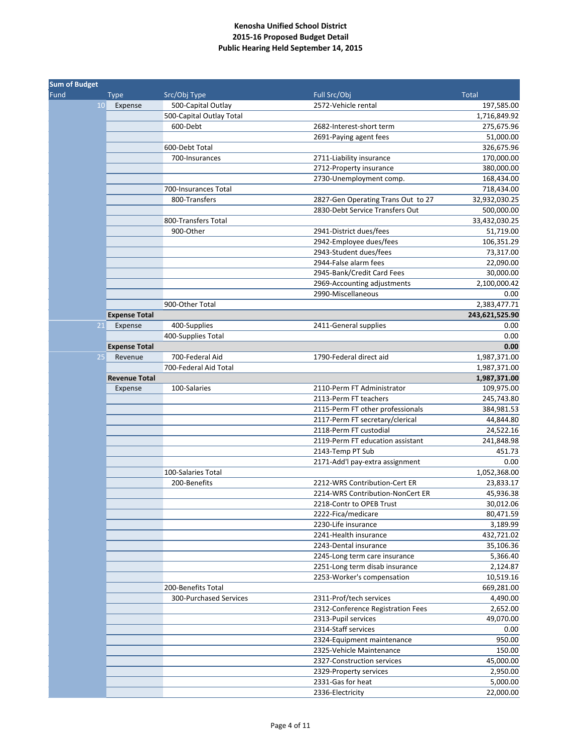| <b>Sum of Budget</b> |                      |                          |                                    |                |
|----------------------|----------------------|--------------------------|------------------------------------|----------------|
| Fund                 | <b>Type</b>          | Src/Obj Type             | Full Src/Obj                       | <b>Total</b>   |
| 10 <sup>1</sup>      | Expense              | 500-Capital Outlay       | 2572-Vehicle rental                | 197,585.00     |
|                      |                      | 500-Capital Outlay Total |                                    | 1,716,849.92   |
|                      |                      | 600-Debt                 | 2682-Interest-short term           | 275,675.96     |
|                      |                      |                          | 2691-Paying agent fees             | 51,000.00      |
|                      |                      | 600-Debt Total           |                                    | 326,675.96     |
|                      |                      | 700-Insurances           | 2711-Liability insurance           | 170,000.00     |
|                      |                      |                          | 2712-Property insurance            | 380,000.00     |
|                      |                      |                          | 2730-Unemployment comp.            | 168,434.00     |
|                      |                      | 700-Insurances Total     |                                    | 718,434.00     |
|                      |                      | 800-Transfers            | 2827-Gen Operating Trans Out to 27 | 32,932,030.25  |
|                      |                      |                          | 2830-Debt Service Transfers Out    | 500,000.00     |
|                      |                      | 800-Transfers Total      |                                    | 33,432,030.25  |
|                      |                      | 900-Other                | 2941-District dues/fees            | 51,719.00      |
|                      |                      |                          | 2942-Employee dues/fees            | 106,351.29     |
|                      |                      |                          | 2943-Student dues/fees             | 73,317.00      |
|                      |                      |                          | 2944-False alarm fees              | 22,090.00      |
|                      |                      |                          | 2945-Bank/Credit Card Fees         | 30,000.00      |
|                      |                      |                          | 2969-Accounting adjustments        | 2,100,000.42   |
|                      |                      |                          | 2990-Miscellaneous                 | 0.00           |
|                      |                      | 900-Other Total          |                                    | 2,383,477.71   |
|                      | <b>Expense Total</b> |                          |                                    | 243,621,525.90 |
| 21                   | Expense              | 400-Supplies             | 2411-General supplies              | 0.00           |
|                      |                      | 400-Supplies Total       |                                    | 0.00           |
|                      | <b>Expense Total</b> |                          |                                    | 0.00           |
| 25                   | Revenue              | 700-Federal Aid          | 1790-Federal direct aid            | 1,987,371.00   |
|                      |                      | 700-Federal Aid Total    |                                    | 1,987,371.00   |
|                      | <b>Revenue Total</b> |                          |                                    | 1,987,371.00   |
|                      | Expense              | 100-Salaries             | 2110-Perm FT Administrator         | 109,975.00     |
|                      |                      |                          | 2113-Perm FT teachers              | 245,743.80     |
|                      |                      |                          | 2115-Perm FT other professionals   | 384,981.53     |
|                      |                      |                          | 2117-Perm FT secretary/clerical    | 44,844.80      |
|                      |                      |                          | 2118-Perm FT custodial             | 24,522.16      |
|                      |                      |                          | 2119-Perm FT education assistant   | 241,848.98     |
|                      |                      |                          | 2143-Temp PT Sub                   | 451.73         |
|                      |                      |                          | 2171-Add'l pay-extra assignment    | 0.00           |
|                      |                      | 100-Salaries Total       |                                    | 1,052,368.00   |
|                      |                      | 200-Benefits             | 2212-WRS Contribution-Cert ER      | 23,833.17      |
|                      |                      |                          | 2214-WRS Contribution-NonCert ER   | 45,936.38      |
|                      |                      |                          | 2218-Contr to OPEB Trust           | 30,012.06      |
|                      |                      |                          | 2222-Fica/medicare                 | 80,471.59      |
|                      |                      |                          | 2230-Life insurance                | 3,189.99       |
|                      |                      |                          | 2241-Health insurance              | 432,721.02     |
|                      |                      |                          | 2243-Dental insurance              | 35,106.36      |
|                      |                      |                          | 2245-Long term care insurance      | 5,366.40       |
|                      |                      |                          | 2251-Long term disab insurance     | 2,124.87       |
|                      |                      |                          | 2253-Worker's compensation         | 10,519.16      |
|                      |                      | 200-Benefits Total       |                                    | 669,281.00     |
|                      |                      | 300-Purchased Services   | 2311-Prof/tech services            | 4,490.00       |
|                      |                      |                          | 2312-Conference Registration Fees  | 2,652.00       |
|                      |                      |                          | 2313-Pupil services                | 49,070.00      |
|                      |                      |                          | 2314-Staff services                | 0.00           |
|                      |                      |                          | 2324-Equipment maintenance         | 950.00         |
|                      |                      |                          | 2325-Vehicle Maintenance           | 150.00         |
|                      |                      |                          | 2327-Construction services         | 45,000.00      |
|                      |                      |                          | 2329-Property services             | 2,950.00       |
|                      |                      |                          | 2331-Gas for heat                  | 5,000.00       |
|                      |                      |                          | 2336-Electricity                   | 22,000.00      |
|                      |                      |                          |                                    |                |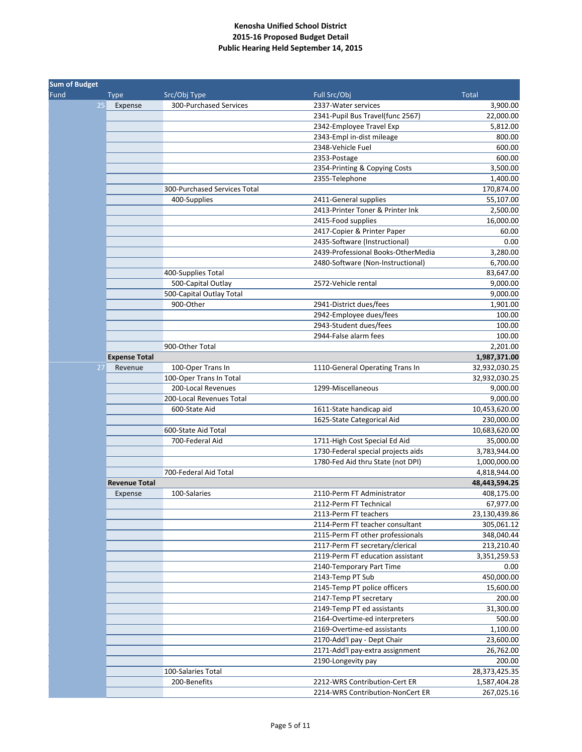| <b>Sum of Budget</b> |                      |                              |                                    |               |
|----------------------|----------------------|------------------------------|------------------------------------|---------------|
| Fund                 | <b>Type</b>          | Src/Obj Type                 | Full Src/Obj                       | <b>Total</b>  |
| 25                   | Expense              | 300-Purchased Services       | 2337-Water services                | 3,900.00      |
|                      |                      |                              | 2341-Pupil Bus Travel(func 2567)   | 22,000.00     |
|                      |                      |                              | 2342-Employee Travel Exp           | 5,812.00      |
|                      |                      |                              | 2343-Empl in-dist mileage          | 800.00        |
|                      |                      |                              | 2348-Vehicle Fuel                  | 600.00        |
|                      |                      |                              | 2353-Postage                       | 600.00        |
|                      |                      |                              | 2354-Printing & Copying Costs      | 3,500.00      |
|                      |                      |                              | 2355-Telephone                     | 1,400.00      |
|                      |                      | 300-Purchased Services Total |                                    | 170,874.00    |
|                      |                      | 400-Supplies                 | 2411-General supplies              | 55,107.00     |
|                      |                      |                              | 2413-Printer Toner & Printer Ink   | 2,500.00      |
|                      |                      |                              | 2415-Food supplies                 | 16,000.00     |
|                      |                      |                              | 2417-Copier & Printer Paper        | 60.00         |
|                      |                      |                              | 2435-Software (Instructional)      | 0.00          |
|                      |                      |                              | 2439-Professional Books-OtherMedia | 3,280.00      |
|                      |                      |                              | 2480-Software (Non-Instructional)  | 6,700.00      |
|                      |                      | 400-Supplies Total           |                                    | 83,647.00     |
|                      |                      | 500-Capital Outlay           | 2572-Vehicle rental                | 9,000.00      |
|                      |                      | 500-Capital Outlay Total     |                                    | 9,000.00      |
|                      |                      | 900-Other                    | 2941-District dues/fees            | 1,901.00      |
|                      |                      |                              | 2942-Employee dues/fees            | 100.00        |
|                      |                      |                              | 2943-Student dues/fees             | 100.00        |
|                      |                      |                              | 2944-False alarm fees              | 100.00        |
|                      |                      | 900-Other Total              |                                    | 2,201.00      |
|                      | <b>Expense Total</b> |                              |                                    | 1,987,371.00  |
| 27                   | Revenue              | 100-Oper Trans In            | 1110-General Operating Trans In    | 32,932,030.25 |
|                      |                      | 100-Oper Trans In Total      |                                    | 32,932,030.25 |
|                      |                      | 200-Local Revenues           | 1299-Miscellaneous                 | 9,000.00      |
|                      |                      | 200-Local Revenues Total     |                                    | 9,000.00      |
|                      |                      | 600-State Aid                | 1611-State handicap aid            | 10,453,620.00 |
|                      |                      |                              | 1625-State Categorical Aid         | 230,000.00    |
|                      |                      | 600-State Aid Total          |                                    | 10,683,620.00 |
|                      |                      | 700-Federal Aid              | 1711-High Cost Special Ed Aid      | 35,000.00     |
|                      |                      |                              | 1730-Federal special projects aids | 3,783,944.00  |
|                      |                      |                              | 1780-Fed Aid thru State (not DPI)  | 1,000,000.00  |
|                      |                      | 700-Federal Aid Total        |                                    | 4,818,944.00  |
|                      | <b>Revenue Total</b> |                              |                                    | 48,443,594.25 |
|                      | Expense              | 100-Salaries                 | 2110-Perm FT Administrator         | 408,175.00    |
|                      |                      |                              | 2112-Perm FT Technical             | 67,977.00     |
|                      |                      |                              | 2113-Perm FT teachers              | 23,130,439.86 |
|                      |                      |                              | 2114-Perm FT teacher consultant    | 305,061.12    |
|                      |                      |                              | 2115-Perm FT other professionals   | 348,040.44    |
|                      |                      |                              | 2117-Perm FT secretary/clerical    | 213,210.40    |
|                      |                      |                              | 2119-Perm FT education assistant   | 3,351,259.53  |
|                      |                      |                              | 2140-Temporary Part Time           | 0.00          |
|                      |                      |                              | 2143-Temp PT Sub                   | 450,000.00    |
|                      |                      |                              | 2145-Temp PT police officers       | 15,600.00     |
|                      |                      |                              | 2147-Temp PT secretary             | 200.00        |
|                      |                      |                              | 2149-Temp PT ed assistants         | 31,300.00     |
|                      |                      |                              | 2164-Overtime-ed interpreters      | 500.00        |
|                      |                      |                              | 2169-Overtime-ed assistants        | 1,100.00      |
|                      |                      |                              | 2170-Add'l pay - Dept Chair        | 23,600.00     |
|                      |                      |                              | 2171-Add'l pay-extra assignment    | 26,762.00     |
|                      |                      |                              |                                    |               |
|                      |                      |                              | 2190-Longevity pay                 | 200.00        |
|                      |                      | 100-Salaries Total           |                                    | 28,373,425.35 |
|                      |                      | 200-Benefits                 | 2212-WRS Contribution-Cert ER      | 1,587,404.28  |
|                      |                      |                              | 2214-WRS Contribution-NonCert ER   | 267,025.16    |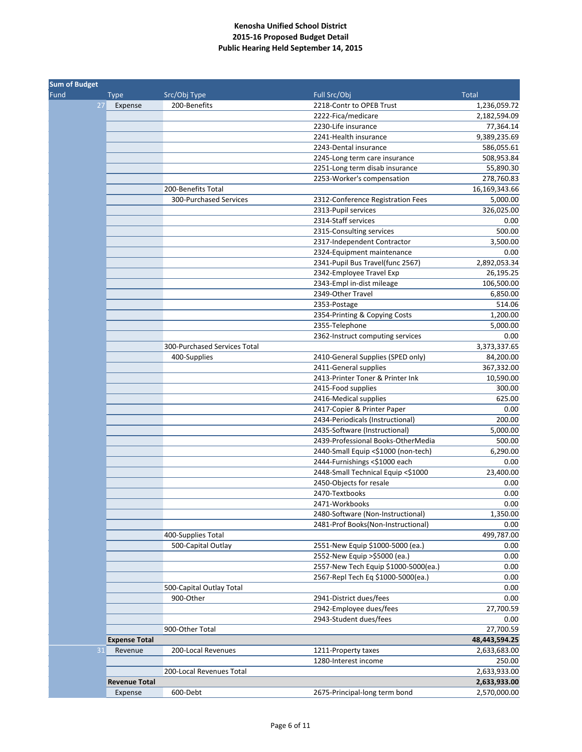| <b>Sum of Budget</b> |                      |                              |                                      |               |  |
|----------------------|----------------------|------------------------------|--------------------------------------|---------------|--|
| Fund                 | <b>Type</b>          | Src/Obj Type                 | Full Src/Obj                         | <b>Total</b>  |  |
| 27                   | Expense              | 200-Benefits                 | 2218-Contr to OPEB Trust             | 1,236,059.72  |  |
|                      |                      |                              | 2222-Fica/medicare                   | 2,182,594.09  |  |
|                      |                      |                              | 2230-Life insurance                  | 77,364.14     |  |
|                      |                      |                              | 2241-Health insurance                | 9,389,235.69  |  |
|                      |                      |                              | 2243-Dental insurance                | 586,055.61    |  |
|                      |                      |                              | 2245-Long term care insurance        | 508,953.84    |  |
|                      |                      |                              | 2251-Long term disab insurance       | 55,890.30     |  |
|                      |                      |                              | 2253-Worker's compensation           | 278,760.83    |  |
|                      |                      | 200-Benefits Total           |                                      | 16,169,343.66 |  |
|                      |                      | 300-Purchased Services       | 2312-Conference Registration Fees    | 5,000.00      |  |
|                      |                      |                              | 2313-Pupil services                  | 326,025.00    |  |
|                      |                      |                              | 2314-Staff services                  | 0.00          |  |
|                      |                      |                              | 2315-Consulting services             | 500.00        |  |
|                      |                      |                              | 2317-Independent Contractor          | 3,500.00      |  |
|                      |                      |                              | 2324-Equipment maintenance           | 0.00          |  |
|                      |                      |                              | 2341-Pupil Bus Travel(func 2567)     | 2,892,053.34  |  |
|                      |                      |                              | 2342-Employee Travel Exp             | 26,195.25     |  |
|                      |                      |                              | 2343-Empl in-dist mileage            | 106,500.00    |  |
|                      |                      |                              | 2349-Other Travel                    | 6,850.00      |  |
|                      |                      |                              | 2353-Postage                         | 514.06        |  |
|                      |                      |                              | 2354-Printing & Copying Costs        | 1,200.00      |  |
|                      |                      |                              | 2355-Telephone                       | 5,000.00      |  |
|                      |                      |                              | 2362-Instruct computing services     | 0.00          |  |
|                      |                      | 300-Purchased Services Total |                                      | 3,373,337.65  |  |
|                      |                      | 400-Supplies                 | 2410-General Supplies (SPED only)    | 84,200.00     |  |
|                      |                      |                              | 2411-General supplies                | 367,332.00    |  |
|                      |                      |                              | 2413-Printer Toner & Printer Ink     | 10,590.00     |  |
|                      |                      |                              | 2415-Food supplies                   | 300.00        |  |
|                      |                      |                              | 2416-Medical supplies                | 625.00        |  |
|                      |                      |                              | 2417-Copier & Printer Paper          | 0.00          |  |
|                      |                      |                              | 2434-Periodicals (Instructional)     | 200.00        |  |
|                      |                      |                              | 2435-Software (Instructional)        | 5,000.00      |  |
|                      |                      |                              | 2439-Professional Books-OtherMedia   | 500.00        |  |
|                      |                      |                              | 2440-Small Equip <\$1000 (non-tech)  | 6,290.00      |  |
|                      |                      |                              | 2444-Furnishings <\$1000 each        | 0.00          |  |
|                      |                      |                              | 2448-Small Technical Equip <\$1000   | 23,400.00     |  |
|                      |                      |                              | 2450-Objects for resale              | 0.00          |  |
|                      |                      |                              | 2470-Textbooks                       | 0.00          |  |
|                      |                      |                              | 2471-Workbooks                       | 0.00          |  |
|                      |                      |                              | 2480-Software (Non-Instructional)    | 1,350.00      |  |
|                      |                      |                              | 2481-Prof Books(Non-Instructional)   | 0.00          |  |
|                      |                      | 400-Supplies Total           |                                      | 499,787.00    |  |
|                      |                      | 500-Capital Outlay           | 2551-New Equip \$1000-5000 (ea.)     | 0.00          |  |
|                      |                      |                              | 2552-New Equip >\$5000 (ea.)         | 0.00          |  |
|                      |                      |                              | 2557-New Tech Equip \$1000-5000(ea.) | 0.00          |  |
|                      |                      |                              | 2567-Repl Tech Eq \$1000-5000(ea.)   | 0.00          |  |
|                      |                      | 500-Capital Outlay Total     |                                      | 0.00          |  |
|                      |                      | 900-Other                    | 2941-District dues/fees              | 0.00          |  |
|                      |                      |                              | 2942-Employee dues/fees              | 27,700.59     |  |
|                      |                      |                              | 2943-Student dues/fees               | 0.00          |  |
|                      |                      | 900-Other Total              |                                      | 27,700.59     |  |
|                      | <b>Expense Total</b> |                              |                                      | 48,443,594.25 |  |
| 31                   | Revenue              | 200-Local Revenues           | 1211-Property taxes                  | 2,633,683.00  |  |
|                      |                      |                              | 1280-Interest income                 | 250.00        |  |
|                      |                      | 200-Local Revenues Total     |                                      | 2,633,933.00  |  |
|                      | <b>Revenue Total</b> |                              |                                      | 2,633,933.00  |  |
|                      | Expense              | 600-Debt                     | 2675-Principal-long term bond        | 2,570,000.00  |  |
|                      |                      |                              |                                      |               |  |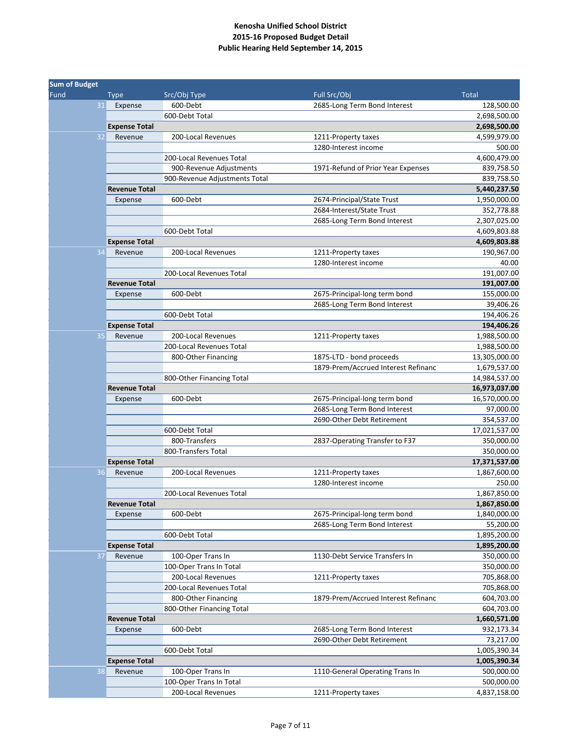| <b>Sum of Budget</b> |                      |                                               |                                     |                            |
|----------------------|----------------------|-----------------------------------------------|-------------------------------------|----------------------------|
| Fund                 | <b>Type</b>          | Src/Obj Type                                  | Full Src/Obj                        | <b>Total</b>               |
| 31                   | Expense              | 600-Debt                                      | 2685-Long Term Bond Interest        | 128,500.00                 |
|                      |                      | 600-Debt Total                                |                                     | 2,698,500.00               |
|                      | <b>Expense Total</b> |                                               |                                     | 2,698,500.00               |
| 32                   | Revenue              | 200-Local Revenues                            | 1211-Property taxes                 | 4,599,979.00               |
|                      |                      |                                               | 1280-Interest income                | 500.00                     |
|                      |                      | 200-Local Revenues Total                      |                                     | 4,600,479.00               |
|                      |                      | 900-Revenue Adjustments                       | 1971-Refund of Prior Year Expenses  | 839,758.50                 |
|                      |                      | 900-Revenue Adjustments Total                 |                                     | 839,758.50                 |
|                      | <b>Revenue Total</b> |                                               |                                     | 5,440,237.50               |
|                      | Expense              | 600-Debt                                      | 2674-Principal/State Trust          | 1,950,000.00               |
|                      |                      |                                               | 2684-Interest/State Trust           | 352,778.88                 |
|                      |                      |                                               | 2685-Long Term Bond Interest        | 2,307,025.00               |
|                      |                      | 600-Debt Total                                |                                     | 4,609,803.88               |
|                      | <b>Expense Total</b> |                                               |                                     | 4,609,803.88               |
| 34                   | Revenue              | 200-Local Revenues                            | 1211-Property taxes                 | 190,967.00                 |
|                      |                      |                                               | 1280-Interest income                | 40.00                      |
|                      |                      | 200-Local Revenues Total                      |                                     | 191,007.00                 |
|                      | <b>Revenue Total</b> |                                               |                                     | 191,007.00                 |
|                      | Expense              | 600-Debt                                      | 2675-Principal-long term bond       | 155,000.00                 |
|                      |                      |                                               | 2685-Long Term Bond Interest        | 39,406.26                  |
|                      |                      | 600-Debt Total                                |                                     | 194,406.26                 |
|                      | <b>Expense Total</b> |                                               |                                     | 194,406.26                 |
| 35                   | Revenue              | 200-Local Revenues                            | 1211-Property taxes                 | 1,988,500.00               |
|                      |                      | 200-Local Revenues Total                      |                                     | 1,988,500.00               |
|                      |                      | 800-Other Financing                           | 1875-LTD - bond proceeds            | 13,305,000.00              |
|                      |                      |                                               | 1879-Prem/Accrued Interest Refinanc | 1,679,537.00               |
|                      |                      | 800-Other Financing Total                     |                                     | 14,984,537.00              |
|                      | <b>Revenue Total</b> |                                               |                                     | 16,973,037.00              |
|                      | Expense              | 600-Debt                                      | 2675-Principal-long term bond       | 16,570,000.00              |
|                      |                      |                                               | 2685-Long Term Bond Interest        | 97,000.00                  |
|                      |                      |                                               | 2690-Other Debt Retirement          | 354,537.00                 |
|                      |                      | 600-Debt Total                                |                                     | 17,021,537.00              |
|                      |                      | 800-Transfers                                 | 2837-Operating Transfer to F37      | 350,000.00                 |
|                      |                      | 800-Transfers Total                           |                                     | 350,000.00                 |
|                      | <b>Expense Total</b> |                                               |                                     | 17,371,537.00              |
| 36                   | Revenue              | 200-Local Revenues                            | 1211-Property taxes                 | 1,867,600.00               |
|                      |                      |                                               | 1280-Interest income                | 250.00                     |
|                      |                      | 200-Local Revenues Total                      |                                     | 1,867,850.00               |
|                      | <b>Revenue Total</b> |                                               |                                     | 1,867,850.00               |
|                      | Expense              | 600-Debt                                      | 2675-Principal-long term bond       | 1,840,000.00               |
|                      |                      |                                               | 2685-Long Term Bond Interest        | 55,200.00                  |
|                      |                      | 600-Debt Total                                |                                     | 1,895,200.00               |
|                      | <b>Expense Total</b> |                                               |                                     | 1,895,200.00               |
| 37                   | Revenue              | 100-Oper Trans In                             | 1130-Debt Service Transfers In      | 350,000.00                 |
|                      |                      | 100-Oper Trans In Total                       |                                     | 350,000.00                 |
|                      |                      | 200-Local Revenues                            | 1211-Property taxes                 | 705,868.00                 |
|                      |                      | 200-Local Revenues Total                      |                                     | 705,868.00                 |
|                      |                      | 800-Other Financing                           | 1879-Prem/Accrued Interest Refinanc | 604,703.00                 |
|                      |                      | 800-Other Financing Total                     |                                     | 604,703.00                 |
|                      | <b>Revenue Total</b> |                                               |                                     | 1,660,571.00               |
|                      | Expense              | 600-Debt                                      | 2685-Long Term Bond Interest        | 932,173.34                 |
|                      |                      |                                               | 2690-Other Debt Retirement          | 73,217.00                  |
|                      |                      | 600-Debt Total                                |                                     | 1,005,390.34               |
|                      | <b>Expense Total</b> |                                               |                                     | 1,005,390.34               |
| 38                   | Revenue              | 100-Oper Trans In                             | 1110-General Operating Trans In     | 500,000.00                 |
|                      |                      |                                               |                                     |                            |
|                      |                      | 100-Oper Trans In Total<br>200-Local Revenues |                                     | 500,000.00<br>4,837,158.00 |
|                      |                      |                                               | 1211-Property taxes                 |                            |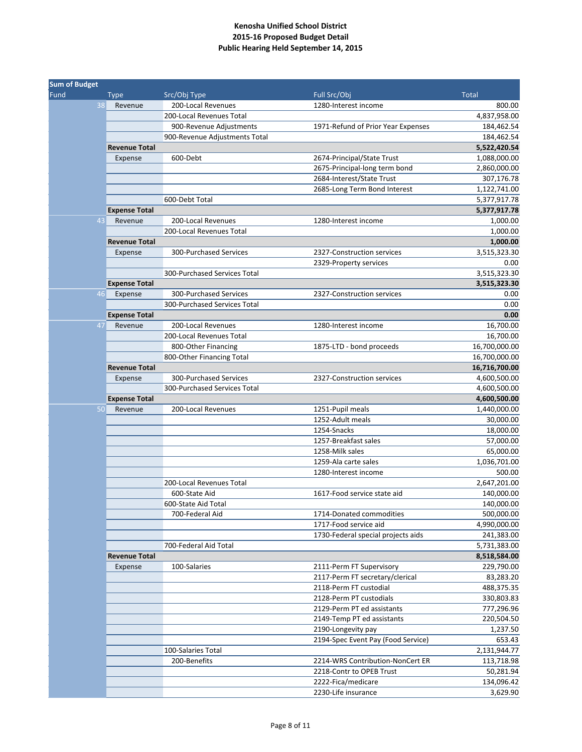| <b>Sum of Budget</b> |                      |                                                |                                    |               |  |
|----------------------|----------------------|------------------------------------------------|------------------------------------|---------------|--|
| Fund                 | <b>Type</b>          | Src/Obj Type                                   | Full Src/Obj                       | <b>Total</b>  |  |
| 38                   | Revenue              | 200-Local Revenues                             | 1280-Interest income               | 800.00        |  |
|                      |                      | 200-Local Revenues Total                       |                                    | 4,837,958.00  |  |
|                      |                      | 900-Revenue Adjustments                        | 1971-Refund of Prior Year Expenses | 184,462.54    |  |
|                      |                      | 900-Revenue Adjustments Total                  |                                    | 184,462.54    |  |
|                      | <b>Revenue Total</b> |                                                |                                    | 5,522,420.54  |  |
|                      | Expense              | 600-Debt                                       | 2674-Principal/State Trust         | 1,088,000.00  |  |
|                      |                      |                                                | 2675-Principal-long term bond      | 2,860,000.00  |  |
|                      |                      |                                                | 2684-Interest/State Trust          | 307,176.78    |  |
|                      |                      |                                                | 2685-Long Term Bond Interest       | 1,122,741.00  |  |
|                      |                      | 600-Debt Total                                 |                                    | 5,377,917.78  |  |
|                      | <b>Expense Total</b> |                                                |                                    | 5,377,917.78  |  |
| 43                   | Revenue              | 200-Local Revenues                             | 1280-Interest income               | 1,000.00      |  |
|                      |                      | 200-Local Revenues Total                       |                                    | 1,000.00      |  |
|                      | <b>Revenue Total</b> |                                                |                                    | 1,000.00      |  |
|                      | Expense              | 300-Purchased Services                         | 2327-Construction services         | 3,515,323.30  |  |
|                      |                      |                                                | 2329-Property services             | 0.00          |  |
|                      |                      | 300-Purchased Services Total                   |                                    | 3,515,323.30  |  |
|                      | <b>Expense Total</b> |                                                |                                    | 3,515,323.30  |  |
| 46                   | Expense              | 300-Purchased Services                         | 2327-Construction services         | 0.00          |  |
|                      |                      | 300-Purchased Services Total                   |                                    | 0.00          |  |
|                      |                      |                                                |                                    | 0.00          |  |
| 47                   | <b>Expense Total</b> |                                                |                                    |               |  |
|                      | Revenue              | 200-Local Revenues<br>200-Local Revenues Total | 1280-Interest income               | 16,700.00     |  |
|                      |                      |                                                |                                    | 16,700.00     |  |
|                      |                      | 800-Other Financing                            | 1875-LTD - bond proceeds           | 16,700,000.00 |  |
|                      |                      | 800-Other Financing Total                      |                                    | 16,700,000.00 |  |
|                      | <b>Revenue Total</b> |                                                |                                    | 16,716,700.00 |  |
|                      | Expense              | 300-Purchased Services                         | 2327-Construction services         | 4,600,500.00  |  |
|                      |                      | 300-Purchased Services Total                   |                                    | 4,600,500.00  |  |
|                      | <b>Expense Total</b> |                                                |                                    | 4,600,500.00  |  |
| 50                   | Revenue              | 200-Local Revenues                             | 1251-Pupil meals                   | 1,440,000.00  |  |
|                      |                      |                                                | 1252-Adult meals                   | 30,000.00     |  |
|                      |                      |                                                | 1254-Snacks                        | 18,000.00     |  |
|                      |                      |                                                | 1257-Breakfast sales               | 57,000.00     |  |
|                      |                      |                                                | 1258-Milk sales                    | 65,000.00     |  |
|                      |                      |                                                | 1259-Ala carte sales               | 1,036,701.00  |  |
|                      |                      |                                                | 1280-Interest income               | 500.00        |  |
|                      |                      | 200-Local Revenues Total                       |                                    | 2,647,201.00  |  |
|                      |                      | 600-State Aid                                  | 1617-Food service state aid        | 140,000.00    |  |
|                      |                      | 600-State Aid Total                            |                                    | 140,000.00    |  |
|                      |                      | 700-Federal Aid                                | 1714-Donated commodities           | 500,000.00    |  |
|                      |                      |                                                | 1717-Food service aid              | 4,990,000.00  |  |
|                      |                      |                                                | 1730-Federal special projects aids | 241,383.00    |  |
|                      |                      | 700-Federal Aid Total                          |                                    | 5,731,383.00  |  |
|                      | <b>Revenue Total</b> |                                                |                                    | 8,518,584.00  |  |
|                      | Expense              | 100-Salaries                                   | 2111-Perm FT Supervisory           | 229,790.00    |  |
|                      |                      |                                                | 2117-Perm FT secretary/clerical    | 83,283.20     |  |
|                      |                      |                                                | 2118-Perm FT custodial             | 488,375.35    |  |
|                      |                      |                                                | 2128-Perm PT custodials            | 330,803.83    |  |
|                      |                      |                                                | 2129-Perm PT ed assistants         | 777,296.96    |  |
|                      |                      |                                                | 2149-Temp PT ed assistants         | 220,504.50    |  |
|                      |                      |                                                | 2190-Longevity pay                 | 1,237.50      |  |
|                      |                      |                                                | 2194-Spec Event Pay (Food Service) | 653.43        |  |
|                      |                      | 100-Salaries Total                             |                                    | 2,131,944.77  |  |
|                      |                      | 200-Benefits                                   | 2214-WRS Contribution-NonCert ER   | 113,718.98    |  |
|                      |                      |                                                | 2218-Contr to OPEB Trust           | 50,281.94     |  |
|                      |                      |                                                | 2222-Fica/medicare                 | 134,096.42    |  |
|                      |                      |                                                | 2230-Life insurance                | 3,629.90      |  |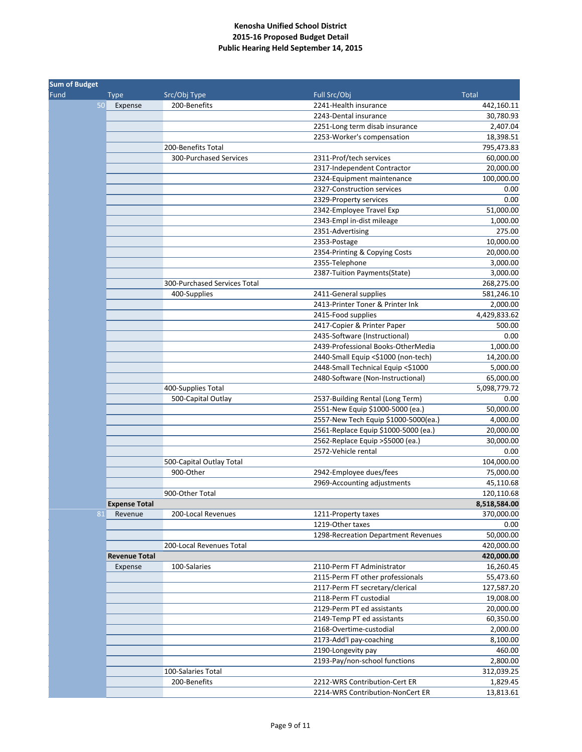| <b>Sum of Budget</b> |                      |                                       |                                      |              |
|----------------------|----------------------|---------------------------------------|--------------------------------------|--------------|
| Fund                 | <b>Type</b>          | Src/Obj Type                          | Full Src/Obj                         | <b>Total</b> |
|                      | 50<br>Expense        | 200-Benefits                          | 2241-Health insurance                | 442,160.11   |
|                      |                      |                                       | 2243-Dental insurance                | 30,780.93    |
|                      |                      |                                       | 2251-Long term disab insurance       | 2,407.04     |
|                      |                      |                                       | 2253-Worker's compensation           | 18,398.51    |
|                      |                      | 200-Benefits Total                    |                                      | 795,473.83   |
|                      |                      | 300-Purchased Services                | 2311-Prof/tech services              | 60,000.00    |
|                      |                      |                                       | 2317-Independent Contractor          | 20,000.00    |
|                      |                      |                                       | 2324-Equipment maintenance           | 100,000.00   |
|                      |                      |                                       | 2327-Construction services           | 0.00         |
|                      |                      |                                       | 2329-Property services               | 0.00         |
|                      |                      |                                       | 2342-Employee Travel Exp             | 51,000.00    |
|                      |                      |                                       | 2343-Empl in-dist mileage            | 1,000.00     |
|                      |                      |                                       | 2351-Advertising                     | 275.00       |
|                      |                      |                                       | 2353-Postage                         | 10,000.00    |
|                      |                      |                                       | 2354-Printing & Copying Costs        | 20,000.00    |
|                      |                      |                                       | 2355-Telephone                       | 3,000.00     |
|                      |                      |                                       | 2387-Tuition Payments(State)         | 3,000.00     |
|                      |                      | 300-Purchased Services Total          |                                      | 268,275.00   |
|                      |                      | 400-Supplies                          | 2411-General supplies                | 581,246.10   |
|                      |                      |                                       | 2413-Printer Toner & Printer Ink     | 2,000.00     |
|                      |                      |                                       | 2415-Food supplies                   | 4,429,833.62 |
|                      |                      |                                       | 2417-Copier & Printer Paper          | 500.00       |
|                      |                      |                                       | 2435-Software (Instructional)        | 0.00         |
|                      |                      |                                       | 2439-Professional Books-OtherMedia   | 1,000.00     |
|                      |                      |                                       | 2440-Small Equip <\$1000 (non-tech)  | 14,200.00    |
|                      |                      |                                       | 2448-Small Technical Equip <\$1000   | 5,000.00     |
|                      |                      |                                       | 2480-Software (Non-Instructional)    | 65,000.00    |
|                      |                      | 400-Supplies Total                    |                                      | 5,098,779.72 |
|                      |                      | 500-Capital Outlay                    | 2537-Building Rental (Long Term)     | 0.00         |
|                      |                      |                                       | 2551-New Equip \$1000-5000 (ea.)     | 50,000.00    |
|                      |                      |                                       | 2557-New Tech Equip \$1000-5000(ea.) | 4,000.00     |
|                      |                      |                                       | 2561-Replace Equip \$1000-5000 (ea.) | 20,000.00    |
|                      |                      |                                       | 2562-Replace Equip > \$5000 (ea.)    | 30,000.00    |
|                      |                      |                                       | 2572-Vehicle rental                  | 0.00         |
|                      |                      |                                       |                                      | 104,000.00   |
|                      |                      | 500-Capital Outlay Total<br>900-Other |                                      |              |
|                      |                      |                                       | 2942-Employee dues/fees              | 75,000.00    |
|                      |                      |                                       | 2969-Accounting adjustments          | 45,110.68    |
|                      |                      | 900-Other Total                       |                                      | 120,110.68   |
|                      | <b>Expense Total</b> |                                       |                                      | 8,518,584.00 |
|                      | 81<br>Revenue        | 200-Local Revenues                    | 1211-Property taxes                  | 370,000.00   |
|                      |                      |                                       | 1219-Other taxes                     | 0.00         |
|                      |                      |                                       | 1298-Recreation Department Revenues  | 50,000.00    |
|                      |                      | 200-Local Revenues Total              |                                      | 420,000.00   |
|                      | <b>Revenue Total</b> |                                       |                                      | 420,000.00   |
|                      | Expense              | 100-Salaries                          | 2110-Perm FT Administrator           | 16,260.45    |
|                      |                      |                                       | 2115-Perm FT other professionals     | 55,473.60    |
|                      |                      |                                       | 2117-Perm FT secretary/clerical      | 127,587.20   |
|                      |                      |                                       | 2118-Perm FT custodial               | 19,008.00    |
|                      |                      |                                       | 2129-Perm PT ed assistants           | 20,000.00    |
|                      |                      |                                       | 2149-Temp PT ed assistants           | 60,350.00    |
|                      |                      |                                       | 2168-Overtime-custodial              | 2,000.00     |
|                      |                      |                                       | 2173-Add'l pay-coaching              | 8,100.00     |
|                      |                      |                                       | 2190-Longevity pay                   | 460.00       |
|                      |                      |                                       | 2193-Pay/non-school functions        | 2,800.00     |
|                      |                      | 100-Salaries Total                    |                                      | 312,039.25   |
|                      |                      | 200-Benefits                          | 2212-WRS Contribution-Cert ER        | 1,829.45     |
|                      |                      |                                       | 2214-WRS Contribution-NonCert ER     | 13,813.61    |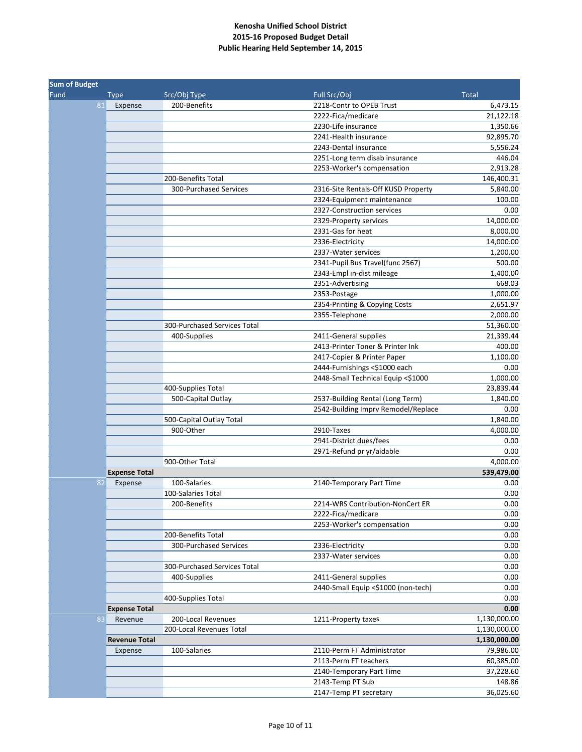| <b>Sum of Budget</b> |                      |                              |                                     |              |
|----------------------|----------------------|------------------------------|-------------------------------------|--------------|
| Fund                 | <b>Type</b>          | Src/Obj Type                 | Full Src/Obj                        | <b>Total</b> |
| 81                   | Expense              | 200-Benefits                 | 2218-Contr to OPEB Trust            | 6,473.15     |
|                      |                      |                              | 2222-Fica/medicare                  | 21,122.18    |
|                      |                      |                              | 2230-Life insurance                 | 1,350.66     |
|                      |                      |                              | 2241-Health insurance               | 92,895.70    |
|                      |                      |                              | 2243-Dental insurance               | 5,556.24     |
|                      |                      |                              | 2251-Long term disab insurance      | 446.04       |
|                      |                      |                              | 2253-Worker's compensation          | 2,913.28     |
|                      |                      | 200-Benefits Total           |                                     | 146,400.31   |
|                      |                      | 300-Purchased Services       | 2316-Site Rentals-Off KUSD Property | 5,840.00     |
|                      |                      |                              | 2324-Equipment maintenance          | 100.00       |
|                      |                      |                              | 2327-Construction services          | 0.00         |
|                      |                      |                              | 2329-Property services              | 14,000.00    |
|                      |                      |                              | 2331-Gas for heat                   | 8,000.00     |
|                      |                      |                              | 2336-Electricity                    | 14,000.00    |
|                      |                      |                              | 2337-Water services                 | 1,200.00     |
|                      |                      |                              | 2341-Pupil Bus Travel(func 2567)    | 500.00       |
|                      |                      |                              | 2343-Empl in-dist mileage           | 1,400.00     |
|                      |                      |                              | 2351-Advertising                    | 668.03       |
|                      |                      |                              | 2353-Postage                        | 1,000.00     |
|                      |                      |                              | 2354-Printing & Copying Costs       | 2,651.97     |
|                      |                      |                              | 2355-Telephone                      | 2,000.00     |
|                      |                      | 300-Purchased Services Total |                                     | 51,360.00    |
|                      |                      | 400-Supplies                 | 2411-General supplies               | 21,339.44    |
|                      |                      |                              | 2413-Printer Toner & Printer Ink    | 400.00       |
|                      |                      |                              | 2417-Copier & Printer Paper         | 1,100.00     |
|                      |                      |                              | 2444-Furnishings <\$1000 each       | 0.00         |
|                      |                      |                              | 2448-Small Technical Equip <\$1000  | 1,000.00     |
|                      |                      | 400-Supplies Total           |                                     | 23,839.44    |
|                      |                      | 500-Capital Outlay           | 2537-Building Rental (Long Term)    | 1,840.00     |
|                      |                      |                              | 2542-Building Imprv Remodel/Replace | 0.00         |
|                      |                      | 500-Capital Outlay Total     |                                     | 1,840.00     |
|                      |                      | 900-Other                    | 2910-Taxes                          | 4,000.00     |
|                      |                      |                              | 2941-District dues/fees             | 0.00         |
|                      |                      |                              | 2971-Refund pr yr/aidable           | 0.00         |
|                      |                      |                              |                                     |              |
|                      |                      | 900-Other Total              |                                     | 4,000.00     |
|                      | <b>Expense Total</b> | 100-Salaries                 |                                     | 539,479.00   |
| 82                   | Expense              |                              | 2140-Temporary Part Time            | 0.00         |
|                      |                      | 100-Salaries Total           |                                     | 0.00         |
|                      |                      | 200-Benefits                 | 2214-WRS Contribution-NonCert ER    | 0.00         |
|                      |                      |                              | 2222-Fica/medicare                  | 0.00         |
|                      |                      |                              | 2253-Worker's compensation          | 0.00         |
|                      |                      | 200-Benefits Total           |                                     | 0.00         |
|                      |                      | 300-Purchased Services       | 2336-Electricity                    | 0.00         |
|                      |                      |                              | 2337-Water services                 | 0.00         |
|                      |                      | 300-Purchased Services Total |                                     | 0.00         |
|                      |                      | 400-Supplies                 | 2411-General supplies               | 0.00         |
|                      |                      |                              | 2440-Small Equip <\$1000 (non-tech) | 0.00         |
|                      |                      | 400-Supplies Total           |                                     | 0.00         |
|                      | <b>Expense Total</b> |                              |                                     | 0.00         |
| 83                   | Revenue              | 200-Local Revenues           | 1211-Property taxes                 | 1,130,000.00 |
|                      |                      | 200-Local Revenues Total     |                                     | 1,130,000.00 |
|                      | <b>Revenue Total</b> |                              |                                     | 1,130,000.00 |
|                      | Expense              | 100-Salaries                 | 2110-Perm FT Administrator          | 79,986.00    |
|                      |                      |                              | 2113-Perm FT teachers               | 60,385.00    |
|                      |                      |                              | 2140-Temporary Part Time            | 37,228.60    |
|                      |                      |                              | 2143-Temp PT Sub                    | 148.86       |
|                      |                      |                              | 2147-Temp PT secretary              | 36,025.60    |